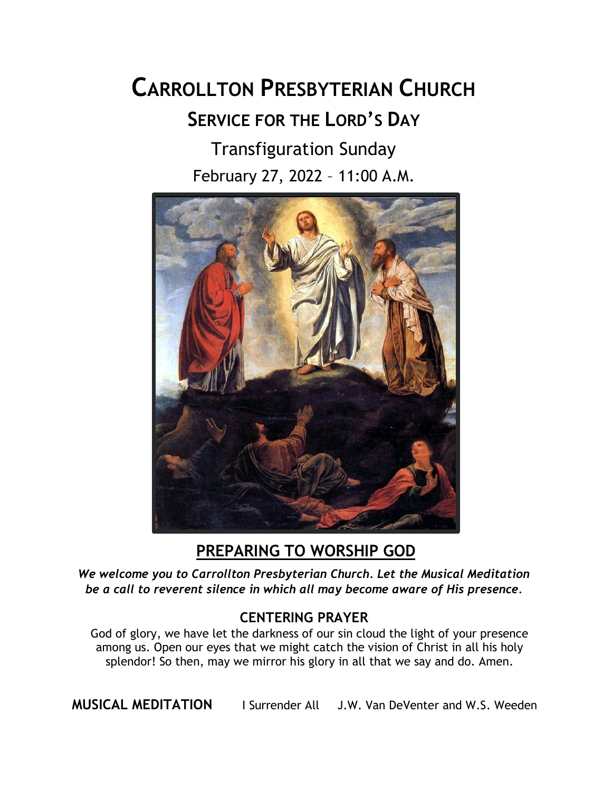# **CARROLLTON PRESBYTERIAN CHURCH SERVICE FOR THE LORD'S DAY** Transfiguration Sunday

February 27, 2022 – 11:00 A.M.



**PREPARING TO WORSHIP GOD**

*We welcome you to Carrollton Presbyterian Church. Let the Musical Meditation be a call to reverent silence in which all may become aware of His presence.*

### **CENTERING PRAYER**

God of glory, we have let the darkness of our sin cloud the light of your presence among us. Open our eyes that we might catch the vision of Christ in all his holy splendor! So then, may we mirror his glory in all that we say and do. Amen.

**MUSICAL MEDITATION** I Surrender All J.W. Van DeVenter and W.S. Weeden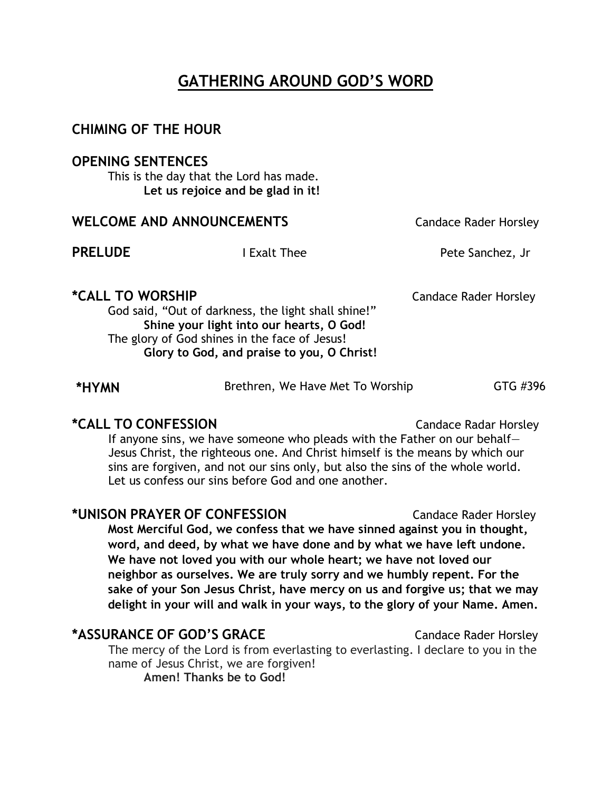# **GATHERING AROUND GOD'S WORD**

### **CHIMING OF THE HOUR**

### **OPENING SENTENCES**

This is the day that the Lord has made. **Let us rejoice and be glad in it!**

| <b>WELCOME AND ANNOUNCEMENTS</b>                                                                                                                                                                                                 |              | <b>Candace Rader Horsley</b> |
|----------------------------------------------------------------------------------------------------------------------------------------------------------------------------------------------------------------------------------|--------------|------------------------------|
| <b>PRELUDE</b>                                                                                                                                                                                                                   | I Exalt Thee | Pete Sanchez, Jr             |
| <i><b>*CALL TO WORSHIP</b></i><br>God said, "Out of darkness, the light shall shine!"<br>Shine your light into our hearts, O God!<br>The glory of God shines in the face of Jesus!<br>Glory to God, and praise to you, O Christ! |              | Candace Rader Horsley        |

| *HYMN | Brethren, We Have Met To Worship | GTG #396 |
|-------|----------------------------------|----------|
|       |                                  |          |

### **\*CALL TO CONFESSION** Candace Radar Horsley

If anyone sins, we have someone who pleads with the Father on our behalf— Jesus Christ, the righteous one. And Christ himself is the means by which our sins are forgiven, and not our sins only, but also the sins of the whole world. Let us confess our sins before God and one another.

### **\*UNISON PRAYER OF CONFESSION** Candace Rader Horsley **Most Merciful God, we confess that we have sinned against you in thought, word, and deed, by what we have done and by what we have left undone. We have not loved you with our whole heart; we have not loved our neighbor as ourselves. We are truly sorry and we humbly repent. For the sake of your Son Jesus Christ, have mercy on us and forgive us; that we may delight in your will and walk in your ways, to the glory of your Name. Amen.**

### **\*ASSURANCE OF GOD'S GRACE** Candace Rader Horsley

The mercy of the Lord is from everlasting to everlasting. I declare to you in the name of Jesus Christ, we are forgiven! **Amen! Thanks be to God!**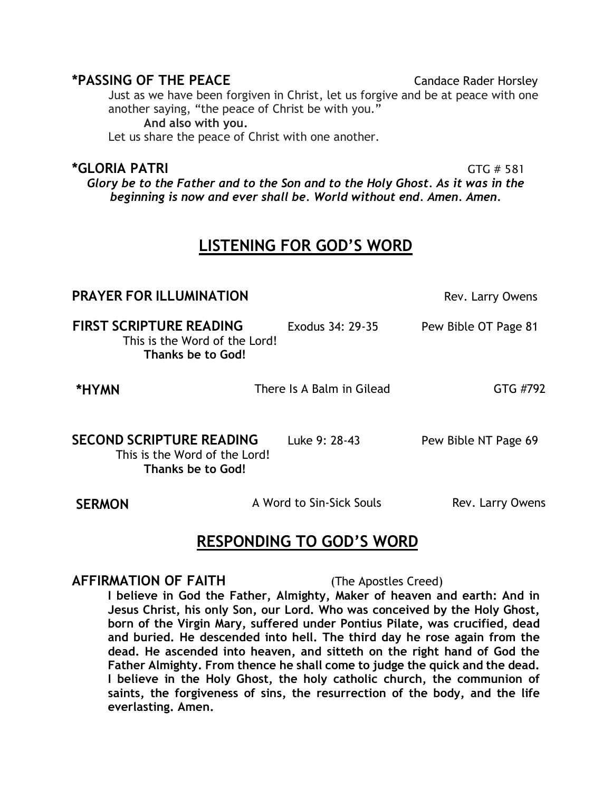### **\*PASSING OF THE PEACE** Candace Rader Horsley

Just as we have been forgiven in Christ, let us forgive and be at peace with one another saying, "the peace of Christ be with you."

**And also with you.**

Let us share the peace of Christ with one another.

### **\*GLORIA PATRI** GTG # 581

*Glory be to the Father and to the Son and to the Holy Ghost. As it was in the beginning is now and ever shall be. World without end. Amen. Amen.*

# **LISTENING FOR GOD'S WORD**

| <b>PRAYER FOR ILLUMINATION</b>                                                        |                           | Rev. Larry Owens     |
|---------------------------------------------------------------------------------------|---------------------------|----------------------|
| <b>FIRST SCRIPTURE READING</b><br>This is the Word of the Lord!<br>Thanks be to God!  | Exodus 34: 29-35          | Pew Bible OT Page 81 |
| *HYMN                                                                                 | There Is A Balm in Gilead | GTG #792             |
| <b>SECOND SCRIPTURE READING</b><br>This is the Word of the Lord!<br>Thanks be to God! | Luke 9: 28-43             | Pew Bible NT Page 69 |
| <b>SERMON</b>                                                                         | A Word to Sin-Sick Souls  | Rev. Larry Owens     |

## **RESPONDING TO GOD'S WORD**

**AFFIRMATION OF FAITH** (The Apostles Creed)

**I believe in God the Father, Almighty, Maker of heaven and earth: And in Jesus Christ, his only Son, our Lord. Who was conceived by the Holy Ghost, born of the Virgin Mary, suffered under Pontius Pilate, was crucified, dead and buried. He descended into hell. The third day he rose again from the dead. He ascended into heaven, and sitteth on the right hand of God the Father Almighty. From thence he shall come to judge the quick and the dead. I believe in the Holy Ghost, the holy catholic church, the communion of saints, the forgiveness of sins, the resurrection of the body, and the life everlasting. Amen.**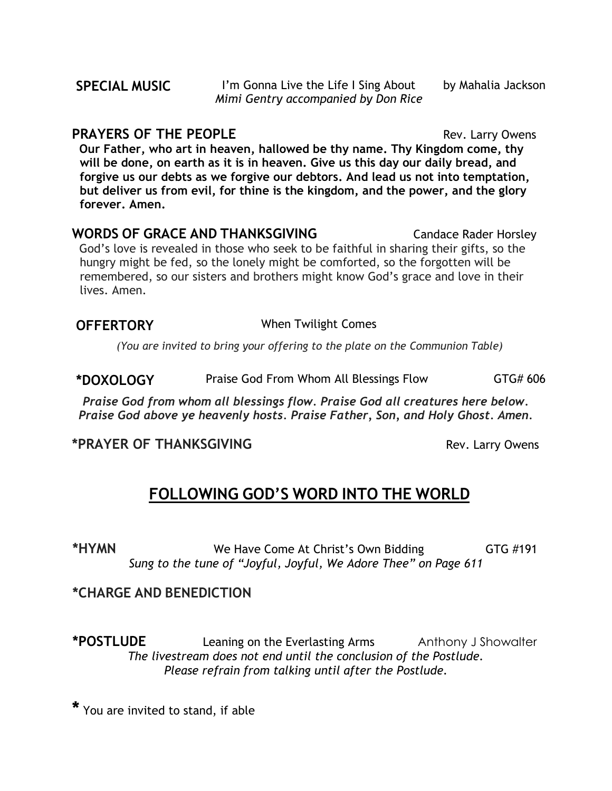**PRAYERS OF THE PEOPLE Rev. Larry Owens Our Father, who art in heaven, hallowed be thy name. Thy Kingdom come, thy will be done, on earth as it is in heaven. Give us this day our daily bread, and forgive us our debts as we forgive our debtors. And lead us not into temptation, but deliver us from evil, for thine is the kingdom, and the power, and the glory forever. Amen.**

**WORDS** OF GRACE AND THANKSGIVING **Candace Rader Horsley** God's love is revealed in those who seek to be faithful in sharing their gifts, so the hungry might be fed, so the lonely might be comforted, so the forgotten will be remembered, so our sisters and brothers might know God's grace and love in their lives. Amen.

### **OFFERTORY** When Twilight Comes

*(You are invited to bring your offering to the plate on the Communion Table)*

**\*DOXOLOGY** Praise God From Whom All Blessings Flow GTG# 606

*Praise God from whom all blessings flow. Praise God all creatures here below. Praise God above ye heavenly hosts. Praise Father, Son, and Holy Ghost. Amen.*

### **\*PRAYER OF THANKSGIVING Rev. Larry Owens**

**FOLLOWING GOD'S WORD INTO THE WORLD**

\*HYMN **\*HYMN** We Have Come At Christ's Own Bidding GTG #191 *Sung to the tune of "Joyful, Joyful, We Adore Thee" on Page 611*

**\*CHARGE AND BENEDICTION**

**\*POSTLUDE** Leaning on the Everlasting Arms Anthony J Showalter *The livestream does not end until the conclusion of the Postlude. Please refrain from talking until after the Postlude.*

**\*** You are invited to stand, if able

by Mahalia Jackson

#### **SPECIAL MUSIC** I'm Gonna Live the Life I Sing About *Mimi Gentry accompanied by Don Rice*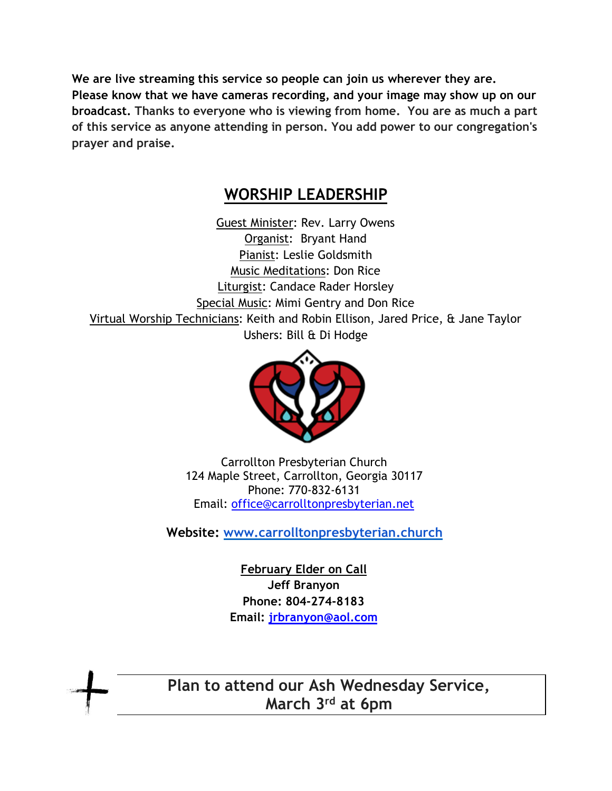**We are live streaming this service so people can join us wherever they are. Please know that we have cameras recording, and your image may show up on our broadcast. Thanks to everyone who is viewing from home. You are as much a part of this service as anyone attending in person. You add power to our congregation's prayer and praise.**

### **WORSHIP LEADERSHIP**

Guest Minister: Rev. Larry Owens Organist: Bryant Hand Pianist: Leslie Goldsmith Music Meditations: Don Rice Liturgist: Candace Rader Horsley Special Music: Mimi Gentry and Don Rice Virtual Worship Technicians: Keith and Robin Ellison, Jared Price, & Jane Taylor Ushers: Bill & Di Hodge



Carrollton Presbyterian Church 124 Maple Street, Carrollton, Georgia 30117 Phone: 770-832-6131 Email: office@carrolltonpresbyterian.net

**Website: www.carrolltonpresbyterian.church**

**February Elder on Call Jeff Branyon Phone: 804-274-8183 Email: jrbranyon@aol.com**

**Plan to attend our Ash Wednesday Service, March 3rd at 6pm**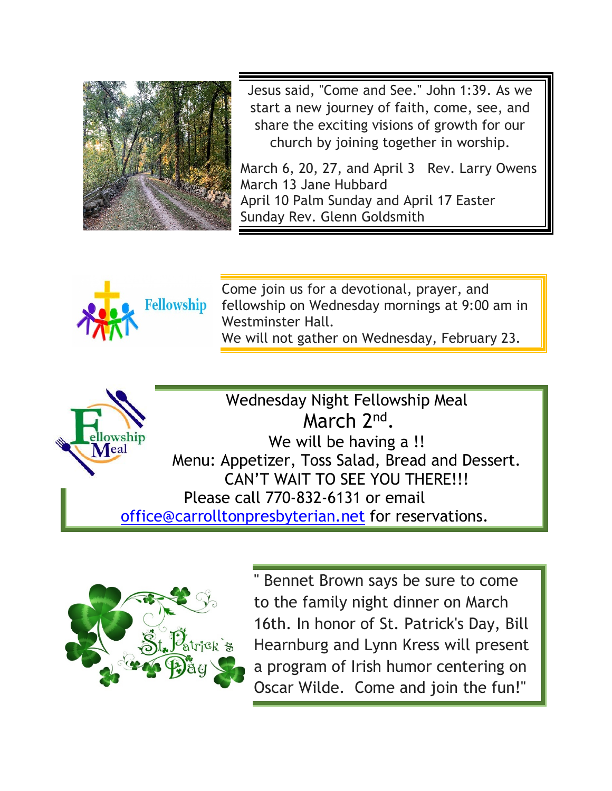

Jesus said, "Come and See." John 1:39. As we start a new journey of faith, come, see, and share the exciting visions of growth for our church by joining together in worship.

March 6, 20, 27, and April 3 Rev. Larry Owens March 13 Jane Hubbard April 10 Palm Sunday and April 17 Easter Sunday Rev. Glenn Goldsmith



Come join us for a devotional, prayer, and fellowship on Wednesday mornings at 9:00 am in Westminster Hall. We will not gather on Wednesday, February 23.



Wednesday Night Fellowship Meal March 2nd. We will be having a !! Menu: Appetizer, Toss Salad, Bread and Dessert. CAN'T WAIT TO SEE YOU THERE!!! Please call 770-832-6131 or email office@carrolltonpresbyterian.net for reservations.



" Bennet Brown says be sure to come to the family night dinner on March 16th. In honor of St. Patrick's Day, Bill Hearnburg and Lynn Kress will present a program of Irish humor centering on Oscar Wilde. Come and join the fun!"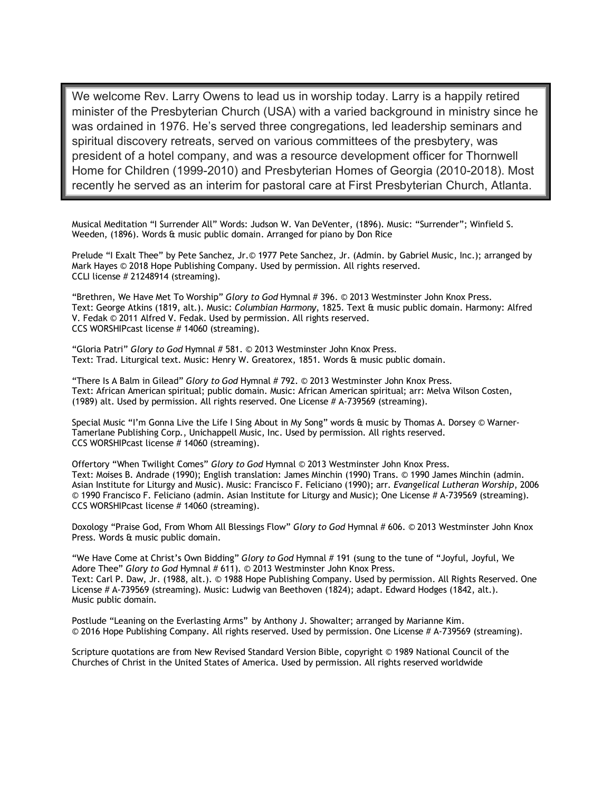We welcome Rev. Larry Owens to lead us in worship today. Larry is a happily retired minister of the Presbyterian Church (USA) with a varied background in ministry since he was ordained in 1976. He's served three congregations, led leadership seminars and spiritual discovery retreats, served on various committees of the presbytery, was president of a hotel company, and was a resource development officer for Thornwell Home for Children (1999-2010) and Presbyterian Homes of Georgia (2010-2018). Most recently he served as an interim for pastoral care at First Presbyterian Church, Atlanta.

Musical Meditation "I Surrender All" Words: Judson W. Van DeVenter, (1896). Music: "Surrender"; Winfield S. Weeden, (1896). Words & music public domain. Arranged for piano by Don Rice

Prelude "I Exalt Thee" by Pete Sanchez, Jr.© 1977 Pete Sanchez, Jr. (Admin. by Gabriel Music, Inc.); arranged by Mark Hayes © 2018 Hope Publishing Company. Used by permission. All rights reserved. CCLI license # 21248914 (streaming).

"Brethren, We Have Met To Worship" *Glory to God* Hymnal # 396. © 2013 Westminster John Knox Press. Text: George Atkins (1819, alt.). Music: *Columbian Harmony*, 1825. Text & music public domain. Harmony: Alfred V. Fedak © 2011 Alfred V. Fedak. Used by permission. All rights reserved. CCS WORSHIPcast license # 14060 (streaming).

"Gloria Patri" *Glory to God* Hymnal # 581. © 2013 Westminster John Knox Press. Text: Trad. Liturgical text. Music: Henry W. Greatorex, 1851. Words & music public domain.

"There Is A Balm in Gilead" *Glory to God* Hymnal # 792. © 2013 Westminster John Knox Press. Text: African American spiritual; public domain. Music: African American spiritual; arr: Melva Wilson Costen, (1989) alt. Used by permission. All rights reserved. One License # A-739569 (streaming).

Special Music "I'm Gonna Live the Life I Sing About in My Song" words & music by Thomas A. Dorsey © Warner-Tamerlane Publishing Corp., Unichappell Music, Inc. Used by permission. All rights reserved. CCS WORSHIPcast license # 14060 (streaming).

Offertory "When Twilight Comes" *Glory to God* Hymnal © 2013 Westminster John Knox Press. Text: Moises B. Andrade (1990); English translation: James Minchin (1990) Trans. © 1990 James Minchin (admin. Asian Institute for Liturgy and Music). Music: Francisco F. Feliciano (1990); arr. *Evangelical Lutheran Worship*, 2006 © 1990 Francisco F. Feliciano (admin. Asian Institute for Liturgy and Music); One License # A-739569 (streaming). CCS WORSHIPcast license # 14060 (streaming).

Doxology "Praise God, From Whom All Blessings Flow" *Glory to God Hymnal # 606*. © 2013 Westminster John Knox Press. Words & music public domain.

"We Have Come at Christ's Own Bidding" *Glory to God* Hymnal # 191 (sung to the tune of "Joyful, Joyful, We Adore Thee" *Glory to God* Hymnal # 611). © 2013 Westminster John Knox Press. Text: Carl P. Daw, Jr. (1988, alt.). © 1988 Hope Publishing Company. Used by permission. All Rights Reserved. One License # A-739569 (streaming). Music: Ludwig van Beethoven (1824); adapt. Edward Hodges (1842, alt.). Music public domain.

Postlude "Leaning on the Everlasting Arms" by Anthony J. Showalter; arranged by Marianne Kim. © 2016 Hope Publishing Company. All rights reserved. Used by permission. One License # A-739569 (streaming).

Scripture quotations are from New Revised Standard Version Bible, copyright © 1989 National Council of the Churches of Christ in the United States of America. Used by permission. All rights reserved worldwide